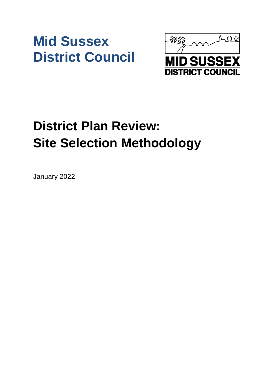# **Mid Sussex District Council**



# **District Plan Review: Site Selection Methodology**

January 2022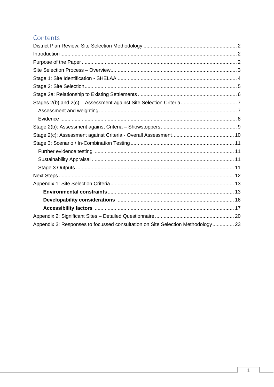#### Contents

| Appendix 3: Responses to focussed consultation on Site Selection Methodology 23 |  |
|---------------------------------------------------------------------------------|--|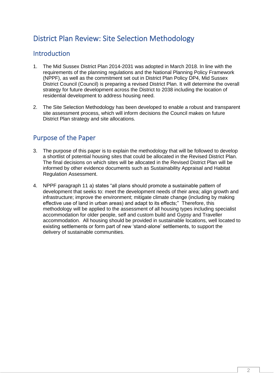## <span id="page-2-0"></span>District Plan Review: Site Selection Methodology

#### <span id="page-2-1"></span>**Introduction**

- 1. The Mid Sussex District Plan 2014-2031 was adopted in March 2018. In line with the requirements of the planning regulations and the National Planning Policy Framework (NPPF), as well as the commitment set out in District Plan Policy DP4, Mid Sussex District Council (Council) is preparing a revised District Plan. It will determine the overall strategy for future development across the District to 2038 including the location of residential development to address housing need.
- 2. The Site Selection Methodology has been developed to enable a robust and transparent site assessment process, which will inform decisions the Council makes on future District Plan strategy and site allocations.

#### <span id="page-2-2"></span>Purpose of the Paper

- 3. The purpose of this paper is to explain the methodology that will be followed to develop a shortlist of potential housing sites that could be allocated in the Revised District Plan. The final decisions on which sites will be allocated in the Revised District Plan will be informed by other evidence documents such as Sustainability Appraisal and Habitat Regulation Assessment.
- 4. NPPF paragraph 11 a) states "all plans should promote a sustainable pattern of development that seeks to: meet the development needs of their area; align growth and infrastructure; improve the environment; mitigate climate change (including by making effective use of land in urban areas) and adapt to its effects;" Therefore, this methodology will be applied to the assessment of all housing types including specialist accommodation for older people, self and custom build and Gypsy and Traveller accommodation. All housing should be provided in sustainable locations, well located to existing settlements or form part of new 'stand-alone' settlements, to support the delivery of sustainable communities.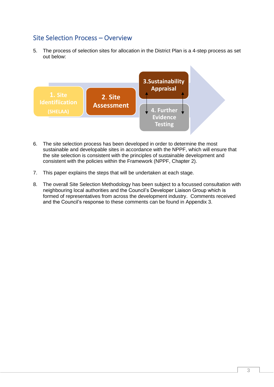#### <span id="page-3-0"></span>Site Selection Process – Overview

5. The process of selection sites for allocation in the District Plan is a 4-step process as set out below:



- 6. The site selection process has been developed in order to determine the most sustainable and developable sites in accordance with the NPPF, which will ensure that the site selection is consistent with the principles of sustainable development and consistent with the policies within the Framework (NPPF, Chapter 2).
- 7. This paper explains the steps that will be undertaken at each stage.
- 8. The overall Site Selection Methodology has been subject to a focussed consultation with neighbouring local authorities and the Council's Developer Liaison Group which is formed of representatives from across the development industry. Comments received and the Council's response to these comments can be found in Appendix 3.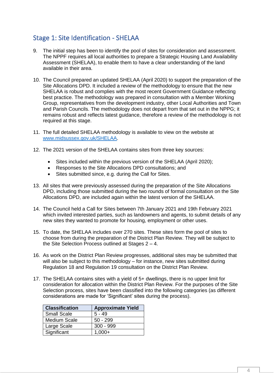## <span id="page-4-0"></span>Stage 1: Site Identification - SHELAA

- 9. The initial step has been to identify the pool of sites for consideration and assessment. The NPPF requires all local authorities to prepare a Strategic Housing Land Availability Assessment (SHELAA), to enable them to have a clear understanding of the land available in their area.
- 10. The Council prepared an updated SHELAA (April 2020) to support the preparation of the Site Allocations DPD. It included a review of the methodology to ensure that the new SHELAA is robust and complies with the most recent Government Guidance reflecting best practice. The methodology was prepared in consultation with a Member Working Group, representatives from the development industry, other Local Authorities and Town and Parish Councils. The methodology does not depart from that set out in the NPPG; it remains robust and reflects latest guidance, therefore a review of the methodology is not required at this stage.
- 11. The full detailed SHELAA methodology is available to view on the website at [www.midsussex.gov.uk/SHELAA.](http://www.midsussex.gov.uk/SHELAA)
- 12. The 2021 version of the SHELAA contains sites from three key sources:
	- Sites included within the previous version of the SHELAA (April 2020);
	- Responses to the Site Allocations DPD consultations; and
	- Sites submitted since, e.g. during the Call for Sites.
- 13. All sites that were previously assessed during the preparation of the Site Allocations DPD, including those submitted during the two rounds of formal consultation on the Site Allocations DPD, are included again within the latest version of the SHELAA.
- 14. The Council held a Call for Sites between 7th January 2021 and 19th February 2021 which invited interested parties, such as landowners and agents, to submit details of any new sites they wanted to promote for housing, employment or other uses.
- 15. To date, the SHELAA includes over 270 sites. These sites form the pool of sites to choose from during the preparation of the District Plan Review. They will be subject to the Site Selection Process outlined at Stages 2 – 4.
- 16. As work on the District Plan Review progresses, additional sites may be submitted that will also be subject to this methodology – for instance, new sites submitted during Regulation 18 and Regulation 19 consultation on the District Plan Review.
- 17. The SHELAA contains sites with a yield of 5+ dwellings, there is no upper limit for consideration for allocation within the District Plan Review. For the purposes of the Site Selection process, sites have been classified into the following categories (as different considerations are made for 'Significant' sites during the process).

| <b>Classification</b> | <b>Approximate Yield</b> |
|-----------------------|--------------------------|
| <b>Small Scale</b>    | $5 - 49$                 |
| <b>Medium Scale</b>   | $50 - 299$               |
| Large Scale           | $300 - 999$              |
| Significant           | $1.000+$                 |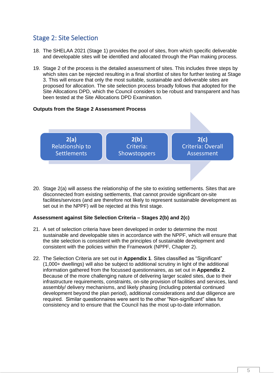#### <span id="page-5-0"></span>Stage 2: Site Selection

- 18. The SHELAA 2021 (Stage 1) provides the pool of sites, from which specific deliverable and developable sites will be identified and allocated through the Plan making process.
- 19. Stage 2 of the process is the detailed assessment of sites. This includes three steps by which sites can be rejected resulting in a final shortlist of sites for further testing at Stage 3. This will ensure that only the most suitable, sustainable and deliverable sites are proposed for allocation. The site selection process broadly follows that adopted for the Site Allocations DPD, which the Council considers to be robust and transparent and has been tested at the Site Allocations DPD Examination.

#### **Outputs from the Stage 2 Assessment Process**



20. Stage 2(a) will assess the relationship of the site to existing settlements. Sites that are disconnected from existing settlements, that cannot provide significant on-site facilities/services (and are therefore not likely to represent sustainable development as set out in the NPPF) will be rejected at this first stage.

#### **Assessment against Site Selection Criteria – Stages 2(b) and 2(c)**

- 21. A set of selection criteria have been developed in order to determine the most sustainable and developable sites in accordance with the NPPF, which will ensure that the site selection is consistent with the principles of sustainable development and consistent with the policies within the Framework (NPPF, Chapter 2).
- 22. The Selection Criteria are set out in **Appendix 1**. Sites classified as "Significant" (1,000+ dwellings) will also be subject to additional scrutiny in light of the additional information gathered from the focussed questionnaires, as set out in **Appendix 2**. Because of the more challenging nature of delivering larger scaled sites, due to their infrastructure requirements, constraints, on-site provision of facilities and services, land assembly/ delivery mechanisms, and likely phasing (including potential continued development beyond the plan period), additional considerations and due diligence are required. Similar questionnaires were sent to the other "Non-significant" sites for consistency and to ensure that the Council has the most up-to-date information.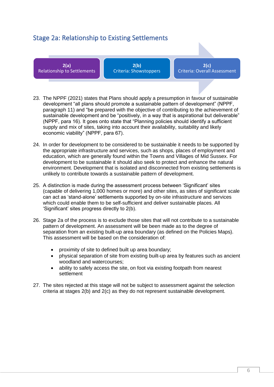### <span id="page-6-0"></span>Stage 2a: Relationship to Existing Settlements

**2(a)**  Relationship to Settlements

**2(b)**  Criteria: Showstoppers

**2(c)**  Criteria: Overall Assessment

- 23. The NPPF (2021) states that Plans should apply a presumption in favour of sustainable development "all plans should promote a sustainable pattern of development" (NPPF, paragraph 11) and "be prepared with the objective of contributing to the achievement of sustainable development and be "positively, in a way that is aspirational but deliverable" (NPPF, para 16). It goes onto state that "Planning policies should identify a sufficient supply and mix of sites, taking into account their availability, suitability and likely economic viability" (NPPF, para 67).
- 24. In order for development to be considered to be sustainable it needs to be supported by the appropriate infrastructure and services, such as shops, places of employment and education, which are generally found within the Towns and Villages of Mid Sussex. For development to be sustainable it should also seek to protect and enhance the natural environment. Development that is isolated and disconnected from existing settlements is unlikely to contribute towards a sustainable pattern of development.
- 25. A distinction is made during the assessment process between 'Significant' sites (capable of delivering 1,000 homes or more) and other sites, as sites of significant scale can act as 'stand-alone' settlements supported by on-site infrastructure and services which could enable them to be self-sufficient and deliver sustainable places. All 'Significant' sites progress directly to 2(b).
- 26. Stage 2a of the process is to exclude those sites that will not contribute to a sustainable pattern of development. An assessment will be been made as to the degree of separation from an existing built-up area boundary (as defined on the Policies Maps). This assessment will be based on the consideration of:
	- proximity of site to defined built up area boundary;
	- physical separation of site from existing built-up area by features such as ancient woodland and watercourses;
	- ability to safely access the site, on foot via existing footpath from nearest settlement
- 27. The sites rejected at this stage will not be subject to assessment against the selection criteria at stages 2(b) and 2(c) as they do not represent sustainable development.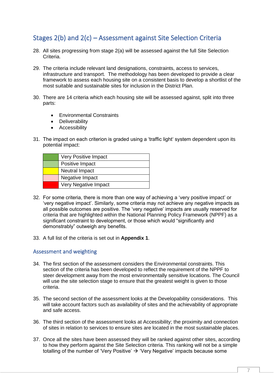## <span id="page-7-0"></span>Stages 2(b) and 2(c) – Assessment against Site Selection Criteria

- 28. All sites progressing from stage 2(a) will be assessed against the full Site Selection Criteria.
- 29. The criteria include relevant land designations, constraints, access to services, infrastructure and transport. The methodology has been developed to provide a clear framework to assess each housing site on a consistent basis to develop a shortlist of the most suitable and sustainable sites for inclusion in the District Plan.
- 30. There are 14 criteria which each housing site will be assessed against, split into three parts:
	- Environmental Constraints
	- Deliverability
	- Accessibility
- 31. The impact on each criterion is graded using a 'traffic light' system dependent upon its potential impact:

| <b>Very Positive Impact</b> |
|-----------------------------|
| Positive Impact             |
| <b>Neutral Impact</b>       |
| Negative Impact             |
| Very Negative Impact        |

- 32. For some criteria, there is more than one way of achieving a 'very positive impact' or 'very negative impact'. Similarly, some criteria may not achieve any negative impacts as all possible outcomes are positive. The 'very negative' impacts are usually reserved for criteria that are highlighted within the National Planning Policy Framework (NPPF) as a significant constraint to development, or those which would "significantly and demonstrably" outweigh any benefits.
- 33. A full list of the criteria is set out in **Appendix 1**.

#### <span id="page-7-1"></span>Assessment and weighting

- 34. The first section of the assessment considers the Environmental constraints. This section of the criteria has been developed to reflect the requirement of the NPPF to steer development away from the most environmentally sensitive locations. The Council will use the site selection stage to ensure that the greatest weight is given to those criteria.
- 35. The second section of the assessment looks at the Developability considerations. This will take account factors such as availability of sites and the achievability of appropriate and safe access.
- 36. The third section of the assessment looks at Accessibility; the proximity and connection of sites in relation to services to ensure sites are located in the most sustainable places.
- 37. Once all the sites have been assessed they will be ranked against other sites, according to how they perform against the Site Selection criteria. This ranking will not be a simple totalling of the number of 'Very Positive'  $\rightarrow$  'Very Negative' impacts because some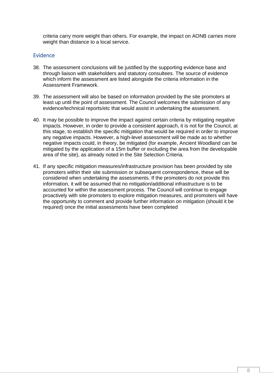criteria carry more weight than others. For example, the impact on AONB carries more weight than distance to a local service.

#### <span id="page-8-0"></span>**Evidence**

- 38. The assessment conclusions will be justified by the supporting evidence base and through liaison with stakeholders and statutory consultees. The source of evidence which inform the assessment are listed alongside the criteria information in the Assessment Framework.
- 39. The assessment will also be based on information provided by the site promoters at least up until the point of assessment. The Council welcomes the submission of any evidence/technical reports/etc that would assist in undertaking the assessment.
- 40. It may be possible to improve the impact against certain criteria by mitigating negative impacts. However, in order to provide a consistent approach, it is not for the Council, at this stage, to establish the specific mitigation that would be required in order to improve any negative impacts. However, a high-level assessment will be made as to whether negative impacts could, in theory, be mitigated (for example, Ancient Woodland can be mitigated by the application of a 15m buffer or excluding the area from the developable area of the site), as already noted in the Site Selection Criteria.
- 41. If any specific mitigation measures/infrastructure provision has been provided by site promoters within their site submission or subsequent correspondence, these will be considered when undertaking the assessments. If the promoters do not provide this information, it will be assumed that no mitigation/additional infrastructure is to be accounted for within the assessment process. The Council will continue to engage proactively with site promoters to explore mitigation measures, and promoters will have the opportunity to comment and provide further information on mitigation (should it be required) once the initial assessments have been completed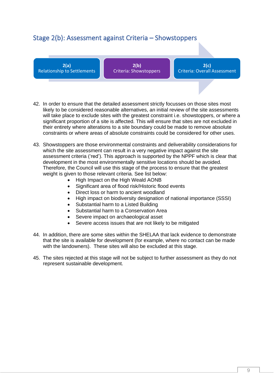### <span id="page-9-0"></span>Stage 2(b): Assessment against Criteria – Showstoppers

**2(a)**  Relationship to Settlements

**2(b)**  Criteria: Showstoppers

**2(c)**  Criteria: Overall Assessment

- 42. In order to ensure that the detailed assessment strictly focusses on those sites most likely to be considered reasonable alternatives, an initial review of the site assessments will take place to exclude sites with the greatest constraint i.e. showstoppers, or where a significant proportion of a site is affected. This will ensure that sites are not excluded in their entirety where alterations to a site boundary could be made to remove absolute constraints or where areas of absolute constraints could be considered for other uses.
- 43. Showstoppers are those environmental constraints and deliverability considerations for which the site assessment can result in a very negative impact against the site assessment criteria ('red'). This approach is supported by the NPPF which is clear that development in the most environmentally sensitive locations should be avoided. Therefore, the Council will use this stage of the process to ensure that the greatest weight is given to those relevant criteria. See list below:
	- High Impact on the High Weald AONB
	- Significant area of flood risk/Historic flood events
	- Direct loss or harm to ancient woodland
	- High impact on biodiversity designation of national importance (SSSI)
	- Substantial harm to a Listed Building
	- Substantial harm to a Conservation Area
	- Severe impact on archaeological asset
	- Severe access issues that are not likely to be mitigated
- 44. In addition, there are some sites within the SHELAA that lack evidence to demonstrate that the site is available for development (for example, where no contact can be made with the landowners). These sites will also be excluded at this stage.
- 45. The sites rejected at this stage will not be subject to further assessment as they do not represent sustainable development.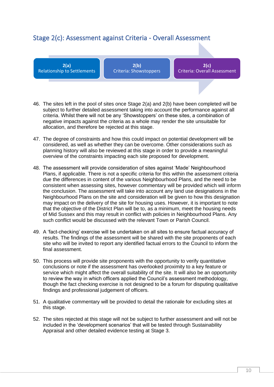#### <span id="page-10-0"></span>Stage 2(c): Assessment against Criteria - Overall Assessment

**2(a)**  Relationship to Settlements

**2(b)**  Criteria: Showstoppers

**2(c)**  Criteria: Overall Assessment

- 46. The sites left in the pool of sites once Stage 2(a) and 2(b) have been completed will be subject to further detailed assessment taking into account the performance against all criteria. Whilst there will not be any 'Showstoppers' on these sites, a combination of negative impacts against the criteria as a whole may render the site unsuitable for allocation, and therefore be rejected at this stage.
- 47. The degree of constraints and how this could impact on potential development will be considered, as well as whether they can be overcome. Other considerations such as planning history will also be reviewed at this stage in order to provide a meaningful overview of the constraints impacting each site proposed for development.
- 48. The assessment will provide consideration of sites against 'Made' Neighbourhood Plans, if applicable. There is not a specific criteria for this within the assessment criteria due the differences in content of the various Neighbourhood Plans, and the need to be consistent when assessing sites, however commentary will be provided which will inform the conclusion. The assessment will take into account any land use designations in the Neighbourhood Plans on the site and consideration will be given to how this designation may impact on the delivery of the site for housing uses. However, it is important to note that the objective of the District Plan will be to, as a minimum, meet the housing needs of Mid Sussex and this may result in conflict with policies in Neighbourhood Plans. Any such conflict would be discussed with the relevant Town or Parish Council.
- 49. A 'fact-checking' exercise will be undertaken on all sites to ensure factual accuracy of results. The findings of the assessment will be shared with the site proponents of each site who will be invited to report any identified factual errors to the Council to inform the final assessment.
- 50. This process will provide site proponents with the opportunity to verify quantitative conclusions or note if the assessment has overlooked proximity to a key feature or service which might affect the overall suitability of the site. It will also be an opportunity to review the way in which officers applied the Council's assessment methodology, though the fact checking exercise is not designed to be a forum for disputing qualitative findings and professional judgement of officers.
- 51. A qualitative commentary will be provided to detail the rationale for excluding sites at this stage.
- 52. The sites rejected at this stage will not be subject to further assessment and will not be included in the 'development scenarios' that will be tested through Sustainability Appraisal and other detailed evidence testing at Stage 3.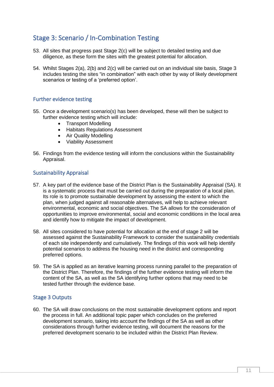## <span id="page-11-0"></span>Stage 3: Scenario / In-Combination Testing

- 53. All sites that progress past Stage 2(c) will be subject to detailed testing and due diligence, as these form the sites with the greatest potential for allocation.
- 54. Whilst Stages 2(a), 2(b) and 2(c) will be carried out on an individual site basis. Stage 3 includes testing the sites "in combination" with each other by way of likely development scenarios or testing of a 'preferred option'.

#### <span id="page-11-1"></span>Further evidence testing

- 55. Once a development scenario(s) has been developed, these will then be subject to further evidence testing which will include:
	- Transport Modelling
	- Habitats Regulations Assessment
	- Air Quality Modelling
	- Viability Assessment
- 56. Findings from the evidence testing will inform the conclusions within the Sustainability Appraisal.

#### <span id="page-11-2"></span>Sustainability Appraisal

- 57. A key part of the evidence base of the District Plan is the Sustainability Appraisal (SA). It is a systematic process that must be carried out during the preparation of a local plan. Its role is to promote sustainable development by assessing the extent to which the plan, when judged against all reasonable alternatives, will help to achieve relevant environmental, economic and social objectives. The SA allows for the consideration of opportunities to improve environmental, social and economic conditions in the local area and identify how to mitigate the impact of development.
- 58. All sites considered to have potential for allocation at the end of stage 2 will be assessed against the Sustainability Framework to consider the sustainability credentials of each site independently and cumulatively. The findings of this work will help identify potential scenarios to address the housing need in the district and corresponding preferred options.
- 59. The SA is applied as an iterative learning process running parallel to the preparation of the District Plan. Therefore, the findings of the further evidence testing will inform the content of the SA, as well as the SA identifying further options that may need to be tested further through the evidence base.

#### <span id="page-11-3"></span>Stage 3 Outputs

60. The SA will draw conclusions on the most sustainable development options and report the process in full. An additional topic paper which concludes on the preferred development scenario, taking into account the findings of the SA as well as other considerations through further evidence testing, will document the reasons for the preferred development scenario to be included within the District Plan Review.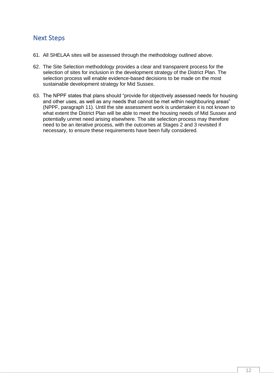#### <span id="page-12-0"></span>Next Steps

- 61. All SHELAA sites will be assessed through the methodology outlined above.
- 62. The Site Selection methodology provides a clear and transparent process for the selection of sites for inclusion in the development strategy of the District Plan. The selection process will enable evidence-based decisions to be made on the most sustainable development strategy for Mid Sussex.
- 63. The NPPF states that plans should "provide for objectively assessed needs for housing and other uses, as well as any needs that cannot be met within neighbouring areas" (NPPF, paragraph 11). Until the site assessment work is undertaken it is not known to what extent the District Plan will be able to meet the housing needs of Mid Sussex and potentially unmet need arising elsewhere. The site selection process may therefore need to be an iterative process, with the outcomes at Stages 2 and 3 revisited if necessary, to ensure these requirements have been fully considered.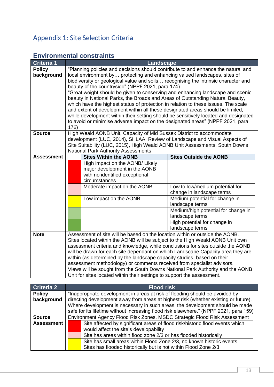# <span id="page-13-0"></span>Appendix 1: Site Selection Criteria

## <span id="page-13-1"></span>**Environmental constraints**

| <b>Criteria 1</b>           |                                                                                                                                                                                                                                                                                                                                                                                                                                                                                                                                                                                                                                                                                                                                                                                                                                     | Landscape                                                                                                                                                                                                                                                                                                                                                                                                                                                                                                                                                                                                                                             |                                                                                                                                                                                           |
|-----------------------------|-------------------------------------------------------------------------------------------------------------------------------------------------------------------------------------------------------------------------------------------------------------------------------------------------------------------------------------------------------------------------------------------------------------------------------------------------------------------------------------------------------------------------------------------------------------------------------------------------------------------------------------------------------------------------------------------------------------------------------------------------------------------------------------------------------------------------------------|-------------------------------------------------------------------------------------------------------------------------------------------------------------------------------------------------------------------------------------------------------------------------------------------------------------------------------------------------------------------------------------------------------------------------------------------------------------------------------------------------------------------------------------------------------------------------------------------------------------------------------------------------------|-------------------------------------------------------------------------------------------------------------------------------------------------------------------------------------------|
| <b>Policy</b><br>background | "Planning policies and decisions should contribute to and enhance the natural and<br>local environment by protecting and enhancing valued landscapes, sites of<br>biodiversity or geological value and soils recognising the intrinsic character and<br>beauty of the countryside" (NPPF 2021, para 174)<br>"Great weight should be given to conserving and enhancing landscape and scenic<br>beauty in National Parks, the Broads and Areas of Outstanding Natural Beauty,<br>which have the highest status of protection in relation to these issues. The scale<br>and extent of development within all these designated areas should be limited,<br>while development within their setting should be sensitively located and designated<br>to avoid or minimise adverse impact on the designated areas" (NPPF 2021, para<br>176) |                                                                                                                                                                                                                                                                                                                                                                                                                                                                                                                                                                                                                                                       |                                                                                                                                                                                           |
| <b>Source</b>               |                                                                                                                                                                                                                                                                                                                                                                                                                                                                                                                                                                                                                                                                                                                                                                                                                                     | High Weald AONB Unit, Capacity of Mid Sussex District to accommodate<br>development (LUC, 2014), SHLAA: Review of Landscape and Visual Aspects of<br>Site Suitability (LUC, 2015), High Weald AONB Unit Assessments, South Downs<br><b>National Park Authority Assessments</b>                                                                                                                                                                                                                                                                                                                                                                        |                                                                                                                                                                                           |
| <b>Assessment</b>           |                                                                                                                                                                                                                                                                                                                                                                                                                                                                                                                                                                                                                                                                                                                                                                                                                                     | <b>Sites Within the AONB</b><br>High impact on the AONB/ Likely<br>major development in the AONB<br>with no identified exceptional<br>circumstances<br>Moderate impact on the AONB<br>Low impact on the AONB                                                                                                                                                                                                                                                                                                                                                                                                                                          | <b>Sites Outside the AONB</b><br>Low to low/medium potential for<br>change in landscape terms<br>Medium potential for change in<br>landscape terms<br>Medium/high potential for change in |
|                             |                                                                                                                                                                                                                                                                                                                                                                                                                                                                                                                                                                                                                                                                                                                                                                                                                                     |                                                                                                                                                                                                                                                                                                                                                                                                                                                                                                                                                                                                                                                       | landscape terms<br>High potential for change in<br>landscape terms                                                                                                                        |
| <b>Note</b>                 |                                                                                                                                                                                                                                                                                                                                                                                                                                                                                                                                                                                                                                                                                                                                                                                                                                     | Assessment of site will be based on the location within or outside the AONB.<br>Sites located within the AONB will be subject to the High Weald AONB Unit own<br>assessment criteria and knowledge, while conclusions for sites outside the AONB<br>will be drawn for each site dependant on which Landscape Capacity area they are<br>within (as determined by the landscape capacity studies, based on their<br>assessment methodology) or comments received from specialist advisors.<br>Views will be sought from the South Downs National Park Authority and the AONB<br>Unit for sites located within their settings to support the assessment. |                                                                                                                                                                                           |

| Criteria 2        |                                                                           | <b>Flood risk</b>                                                                     |  |
|-------------------|---------------------------------------------------------------------------|---------------------------------------------------------------------------------------|--|
| <b>Policy</b>     |                                                                           | "Inappropriate development in areas at risk of flooding should be avoided by          |  |
| background        |                                                                           | directing development away from areas at highest risk (whether existing or future).   |  |
|                   |                                                                           | Where development is necessary in such areas, the development should be made          |  |
|                   |                                                                           | safe for its lifetime without increasing flood risk elsewhere." (NPPF 2021, para 159) |  |
| <b>Source</b>     | Environment Agency Flood Risk Zones, MSDC Strategic Flood Risk Assessment |                                                                                       |  |
| <b>Assessment</b> |                                                                           | Site affected by significant areas of flood risk/historic flood events which          |  |
|                   |                                                                           | would affect the site's developability                                                |  |
|                   |                                                                           | Site has areas within flood zone 2/3 or has flooded historically                      |  |
|                   |                                                                           | Site has small areas within Flood Zone 2/3, no known historic events                  |  |
|                   |                                                                           | Sites has flooded historically but is not within Flood Zone 2/3                       |  |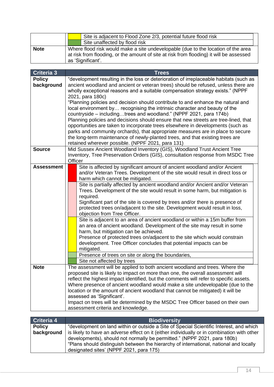|             | Site is adjacent to Flood Zone 2/3, potential future flood risk                                                                                                                                   |
|-------------|---------------------------------------------------------------------------------------------------------------------------------------------------------------------------------------------------|
|             | Site unaffected by flood risk                                                                                                                                                                     |
| <b>Note</b> | Where flood risk would make a site undevelopable (due to the location of the area<br>at risk from flooding, or the amount of site at risk from flooding) it will be assessed<br>as 'Significant'. |

|                                                                                    | <b>Trees</b>                                                                                                                                                    |  |
|------------------------------------------------------------------------------------|-----------------------------------------------------------------------------------------------------------------------------------------------------------------|--|
|                                                                                    | "development resulting in the loss or deterioration of irreplaceable habitats (such as                                                                          |  |
| ancient woodland and ancient or veteran trees) should be refused, unless there are |                                                                                                                                                                 |  |
|                                                                                    | wholly exceptional reasons and a suitable compensation strategy exists." (NPPF                                                                                  |  |
| 2021, para 180c)                                                                   |                                                                                                                                                                 |  |
|                                                                                    | "Planning policies and decision should contribute to and enhance the natural and                                                                                |  |
|                                                                                    | local environment by recognising the intrinsic character and beauty of the                                                                                      |  |
|                                                                                    | countryside – includingtrees and woodland." (NPPF 2021, para 174b)                                                                                              |  |
|                                                                                    | Planning policies and decisions should ensure that new streets are tree-lined, that                                                                             |  |
|                                                                                    | opportunities are taken to incorporate trees elsewhere in developments (such as                                                                                 |  |
|                                                                                    | parks and community orchards), that appropriate measures are in place to secure                                                                                 |  |
|                                                                                    | the long-term maintenance of newly-planted trees, and that existing trees are                                                                                   |  |
|                                                                                    | retained wherever possible. (NPPF 2021, para 131)                                                                                                               |  |
|                                                                                    | Mid Sussex Ancient Woodland Inventory (GIS), Woodland Trust Ancient Tree                                                                                        |  |
|                                                                                    | Inventory, Tree Preservation Orders (GIS), consultation response from MSDC Tree                                                                                 |  |
|                                                                                    | Site is affected by significant amount of ancient woodland and/or Ancient                                                                                       |  |
|                                                                                    | and/or Veteran Trees. Development of the site would result in direct loss or                                                                                    |  |
|                                                                                    | harm which cannot be mitigated.                                                                                                                                 |  |
|                                                                                    | Site is partially affected by ancient woodland and/or Ancient and/or Veteran                                                                                    |  |
|                                                                                    | Trees. Development of the site would result in some harm, but mitigation is                                                                                     |  |
|                                                                                    | required.                                                                                                                                                       |  |
|                                                                                    | Significant part of the site is covered by trees and/or there is presence of                                                                                    |  |
|                                                                                    | protected trees on/adjacent to the site. Development would result in loss,                                                                                      |  |
|                                                                                    | objection from Tree Officer.                                                                                                                                    |  |
|                                                                                    | Site is adjacent to an area of ancient woodland or within a 15m buffer from                                                                                     |  |
|                                                                                    | an area of ancient woodland. Development of the site may result in some                                                                                         |  |
|                                                                                    | harm, but mitigation can be achieved.                                                                                                                           |  |
|                                                                                    | Presence of protected trees on/adjacent to the site which would constrain                                                                                       |  |
|                                                                                    | development. Tree Officer concludes that potential impacts can be                                                                                               |  |
|                                                                                    | mitigated.                                                                                                                                                      |  |
|                                                                                    | Presence of trees on site or along the boundaries,                                                                                                              |  |
|                                                                                    | Site not affected by trees                                                                                                                                      |  |
|                                                                                    | The assessment will be applied to both ancient woodland and trees. Where the<br>proposed site is likely to impact on more than one, the overall assessment will |  |
|                                                                                    | reflect the highest impact identified, but the comments will refer to specific assets.                                                                          |  |
|                                                                                    | Where presence of ancient woodland would make a site undevelopable (due to the                                                                                  |  |
|                                                                                    | location or the amount of ancient woodland that cannot be mitigated) it will be                                                                                 |  |
|                                                                                    | assessed as 'Significant'.                                                                                                                                      |  |
|                                                                                    | Impact on trees will be determined by the MSDC Tree Officer based on their own                                                                                  |  |
|                                                                                    | assessment criteria and knowledge.                                                                                                                              |  |
|                                                                                    | Officer                                                                                                                                                         |  |

| Criteria 4    | <b>Biodiversity</b>                                                                         |
|---------------|---------------------------------------------------------------------------------------------|
| <b>Policy</b> | "development on land within or outside a Site of Special Scientific Interest, and which     |
| background    | is likely to have an adverse effect on it (either individually or in combination with other |
|               | developments), should not normally be permitted." (NPPF 2021, para 180b)                    |
|               | "Plans should distinguish between the hierarchy of international, national and locally      |
|               | designated sites' (NPPF 2021, para 175)                                                     |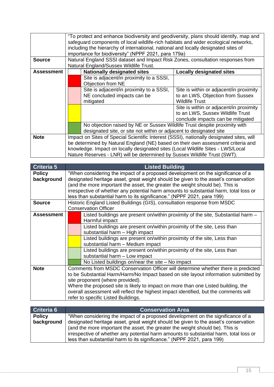| <b>Source</b>     | "To protect and enhance biodiversity and geodiversity, plans should identify, map and<br>safeguard components of local wildlife-rich habitats and wider ecological networks,<br>including the hierarchy of international, national and locally designated sites of<br>importance for biodiversity" (NPPF 2021, para 179a)<br>Natural England SSSI dataset and Impact Risk Zones, consultation responses from<br>Natural England/Sussex Wildlife Trust. |                                                                           |                                                           |  |
|-------------------|--------------------------------------------------------------------------------------------------------------------------------------------------------------------------------------------------------------------------------------------------------------------------------------------------------------------------------------------------------------------------------------------------------------------------------------------------------|---------------------------------------------------------------------------|-----------------------------------------------------------|--|
| <b>Assessment</b> |                                                                                                                                                                                                                                                                                                                                                                                                                                                        | <b>Nationally designated sites</b>                                        | <b>Locally designated sites</b>                           |  |
|                   |                                                                                                                                                                                                                                                                                                                                                                                                                                                        | Site is adjacent/in proximity to a SSSI,<br>Objection from NE             |                                                           |  |
|                   |                                                                                                                                                                                                                                                                                                                                                                                                                                                        | Site is adjacent/in proximity to a SSSI,                                  | Site is within or adjacent/in proximity                   |  |
|                   |                                                                                                                                                                                                                                                                                                                                                                                                                                                        | NE concluded impacts can be<br>mitigated                                  | to an LWS, Objection from Sussex<br><b>Wildlife Trust</b> |  |
|                   |                                                                                                                                                                                                                                                                                                                                                                                                                                                        |                                                                           | Site is within or adjacent/in proximity                   |  |
|                   |                                                                                                                                                                                                                                                                                                                                                                                                                                                        |                                                                           | to an LWS, Sussex Wildlife Trust                          |  |
|                   |                                                                                                                                                                                                                                                                                                                                                                                                                                                        |                                                                           | conclude impacts can be mitigated                         |  |
|                   |                                                                                                                                                                                                                                                                                                                                                                                                                                                        | No objection raised by NE or Sussex Wildlife Trust despite proximity with |                                                           |  |
|                   |                                                                                                                                                                                                                                                                                                                                                                                                                                                        | designated site, or site not within or adjacent to designated site        |                                                           |  |
| <b>Note</b>       | Impact on Sites of Special Scientific Interest (SSSI), nationally designated sites, will                                                                                                                                                                                                                                                                                                                                                               |                                                                           |                                                           |  |
|                   | be determined by Natural England (NE) based on their own assessment criteria and<br>knowledge. Impact on locally designated sites (Local Wildlife Sites - LWS/Local                                                                                                                                                                                                                                                                                    |                                                                           |                                                           |  |
|                   |                                                                                                                                                                                                                                                                                                                                                                                                                                                        | Nature Reserves - LNR) will be determined by Sussex Wildlife Trust (SWT). |                                                           |  |

| Criteria 5        |                                                                                      | <b>Listed Building</b>                                                                |
|-------------------|--------------------------------------------------------------------------------------|---------------------------------------------------------------------------------------|
| <b>Policy</b>     |                                                                                      | "When considering the impact of a proposed development on the significance of a       |
| background        |                                                                                      | designated heritage asset, great weight should be given to the asset's conservation   |
|                   |                                                                                      | (and the more important the asset, the greater the weight should be). This is         |
|                   |                                                                                      | irrespective of whether any potential harm amounts to substantial harm, total loss or |
|                   |                                                                                      | less than substantial harm to its significance." (NPPF 2021, para 199)                |
| <b>Source</b>     |                                                                                      | Historic England Listed Buildings (GIS), consultation response from MSDC              |
|                   |                                                                                      | <b>Conservation Officer</b>                                                           |
| <b>Assessment</b> |                                                                                      | Listed buildings are present on/within proximity of the site, Substantial harm -      |
|                   |                                                                                      | Harmful impact                                                                        |
|                   |                                                                                      | Listed buildings are present on/within proximity of the site, Less than               |
|                   |                                                                                      | substantial harm - High impact                                                        |
|                   |                                                                                      | Listed buildings are present on/within proximity of the site, Less than               |
|                   |                                                                                      | substantial harm - Medium impact                                                      |
|                   |                                                                                      | Listed buildings are present on/within proximity of the site, Less than               |
|                   |                                                                                      | substantial harm - Low impact                                                         |
|                   |                                                                                      | No Listed buildings on/near the site $-$ No impact                                    |
| <b>Note</b>       |                                                                                      | Comments from MSDC Conservation Officer will determine whether there is predicted     |
|                   |                                                                                      | to be Substantial Harm/Harm/No Impact based on site layout information submitted by   |
|                   | site proponent (where provided).                                                     |                                                                                       |
|                   | Where the proposed site is likely to impact on more than one Listed building, the    |                                                                                       |
|                   | overall assessment will reflect the highest impact identified, but the comments will |                                                                                       |
|                   |                                                                                      | refer to specific Listed Buildings.                                                   |

| Criteria 6    | <b>Conservation Area</b>                                                                                                                                                                                                                         |
|---------------|--------------------------------------------------------------------------------------------------------------------------------------------------------------------------------------------------------------------------------------------------|
| <b>Policy</b> | "When considering the impact of a proposed development on the significance of a                                                                                                                                                                  |
| background    | designated heritage asset, great weight should be given to the asset's conservation                                                                                                                                                              |
|               | (and the more important the asset, the greater the weight should be). This is<br>irrespective of whether any potential harm amounts to substantial harm, total loss or<br>less than substantial harm to its significance." (NPPF 2021, para 199) |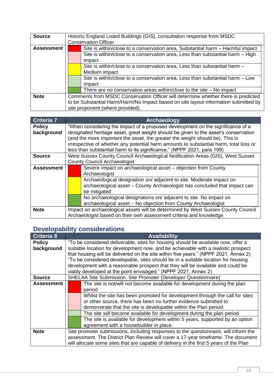| <b>Source</b>     | Historic England Listed Buildings (GIS), consultation response from MSDC            |
|-------------------|-------------------------------------------------------------------------------------|
|                   | <b>Conservation Officer</b>                                                         |
| <b>Assessment</b> | Site is within/close to a conservation area, Substantial harm – Harmful impact      |
|                   | Site is within/close to a conservation area, Less than substantial harm – High      |
|                   | impact                                                                              |
|                   | Site is within/close to a conservation area, Less than substantial harm -           |
|                   | Medium impact                                                                       |
|                   | Site is within/close to a conservation area, Less than substantial harm - Low       |
|                   | impact                                                                              |
|                   | There are no conservation areas within/close to the site $-$ No impact              |
| <b>Note</b>       | Comments from MSDC Conservation Officer will determine whether there is predicted   |
|                   | to be Substantial Harm/Harm/No Impact based on site layout information submitted by |
|                   | site proponent (where provided).                                                    |

| <b>Criteria 7</b>           | Archaeology                                                                                                                                                                                                                                                                                                                                                                                                                |                                                                                                                                                                 |
|-----------------------------|----------------------------------------------------------------------------------------------------------------------------------------------------------------------------------------------------------------------------------------------------------------------------------------------------------------------------------------------------------------------------------------------------------------------------|-----------------------------------------------------------------------------------------------------------------------------------------------------------------|
| <b>Policy</b><br>background | "When considering the impact of a proposed development on the significance of a<br>designated heritage asset, great weight should be given to the asset's conservation<br>(and the more important the asset, the greater the weight should be). This is<br>irrespective of whether any potential harm amounts to substantial harm, total loss or<br>less than substantial harm to its significance." (NPPF 2021, para 199) |                                                                                                                                                                 |
| <b>Source</b>               |                                                                                                                                                                                                                                                                                                                                                                                                                            | West Sussex County Council Archaeological Notification Areas (GIS), West Sussex                                                                                 |
|                             |                                                                                                                                                                                                                                                                                                                                                                                                                            | <b>County Council Archaeologist</b>                                                                                                                             |
| <b>Assessment</b>           |                                                                                                                                                                                                                                                                                                                                                                                                                            | Severe impact on archaeological asset - objection from County<br>Archaeologist                                                                                  |
|                             |                                                                                                                                                                                                                                                                                                                                                                                                                            | Archaeological designation on/adjacent to site. Moderate impact on<br>archaeological asset – County Archaeologist has concluded that impact can<br>be mitigated |
|                             |                                                                                                                                                                                                                                                                                                                                                                                                                            | No archaeological designations on/adjacent to site. No impact on<br>archaeological asset - No objection from County Archaeologist                               |
| <b>Note</b>                 | Impact on archaeological assets will be determined by West Sussex County Council                                                                                                                                                                                                                                                                                                                                           |                                                                                                                                                                 |
|                             | Archaeologist based on their own assessment criteria and knowledge.                                                                                                                                                                                                                                                                                                                                                        |                                                                                                                                                                 |

## <span id="page-16-0"></span>**Developability considerations**

| <b>Criteria 8</b> | <b>Availability</b>                                                                    |  |  |  |
|-------------------|----------------------------------------------------------------------------------------|--|--|--|
| <b>Policy</b>     | "To be considered deliverable, sites for housing should be available now, offer a      |  |  |  |
| background        | suitable location for development now, and be achievable with a realistic prospect     |  |  |  |
|                   | that housing will be delivered on the site within five years." (NPPF 2021, Annex 2)    |  |  |  |
|                   | "To be considered developable, sites should be in a suitable location for housing      |  |  |  |
|                   | development with a reasonable prospect that they will be available and could be        |  |  |  |
|                   | viably developed at the point envisaged." (NPPF 2021, Annex 2)                         |  |  |  |
| <b>Source</b>     | SHELAA Site Submission, Site Promoter (Developer Questionnaire)                        |  |  |  |
| <b>Assessment</b> | The site is not/will not become available for development during the plan              |  |  |  |
|                   | period                                                                                 |  |  |  |
|                   | Whilst the site has been promoted for development through the call for sites           |  |  |  |
|                   | or other source, there has been no further evidence submitted to                       |  |  |  |
|                   | demonstrate that the site is developable within the Plan period.                       |  |  |  |
|                   | The site will become available for development during the plan period                  |  |  |  |
|                   | The site is available for development within 5 years, supported by an option           |  |  |  |
|                   | agreement with a housebuilder in place.                                                |  |  |  |
| <b>Note</b>       | Site promoter submissions, including responses to the questionnaire, will inform the   |  |  |  |
|                   | assessment. The District Plan Review will cover a 17-year timeframe. The document      |  |  |  |
|                   | will allocate some sites that are capable of delivery in the first 5 years of the Plan |  |  |  |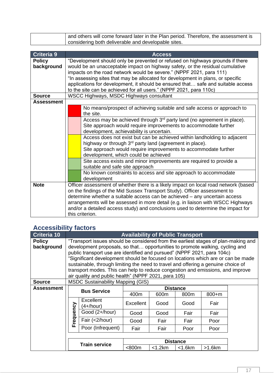| and others will come forward later in the Plan period. Therefore, the assessment is |
|-------------------------------------------------------------------------------------|
| considering both deliverable and developable sites.                                 |

| <b>Criteria 9</b>                  |                                                                                                                                                                                                                                                                                                                                                                                                                                                                                    | <b>Access</b>                                                                                                                                                                                                                                              |  |
|------------------------------------|------------------------------------------------------------------------------------------------------------------------------------------------------------------------------------------------------------------------------------------------------------------------------------------------------------------------------------------------------------------------------------------------------------------------------------------------------------------------------------|------------------------------------------------------------------------------------------------------------------------------------------------------------------------------------------------------------------------------------------------------------|--|
| <b>Policy</b><br>background        | "Development should only be prevented or refused on highways grounds if there<br>would be an unacceptable impact on highway safety, or the residual cumulative<br>impacts on the road network would be severe." (NPPF 2021, para 111)<br>"In assessing sites that may be allocated for development in plans, or specific<br>applications for development, it should be ensured that safe and suitable access<br>to the site can be achieved for all users." (NPPF 2021, para 110c) |                                                                                                                                                                                                                                                            |  |
| <b>Source</b><br><b>Assessment</b> |                                                                                                                                                                                                                                                                                                                                                                                                                                                                                    | WSCC Highways, MSDC Highways consultant                                                                                                                                                                                                                    |  |
|                                    |                                                                                                                                                                                                                                                                                                                                                                                                                                                                                    | No means/prospect of achieving suitable and safe access or approach to<br>the site.                                                                                                                                                                        |  |
|                                    |                                                                                                                                                                                                                                                                                                                                                                                                                                                                                    | Access may be achieved through 3 <sup>rd</sup> party land (no agreement in place).<br>Site approach would require improvements to accommodate further<br>development, achievability is uncertain.                                                          |  |
|                                    |                                                                                                                                                                                                                                                                                                                                                                                                                                                                                    | Access does not exist but can be achieved within landholding to adjacent<br>highway or through 3 <sup>rd</sup> party land (agreement in place).<br>Site approach would require improvements to accommodate further<br>development, which could be achieved |  |
|                                    |                                                                                                                                                                                                                                                                                                                                                                                                                                                                                    | Site access exists and minor improvements are required to provide a<br>suitable and safe site approach                                                                                                                                                     |  |
|                                    |                                                                                                                                                                                                                                                                                                                                                                                                                                                                                    | No known constraints to access and site approach to accommodate<br>development                                                                                                                                                                             |  |
| <b>Note</b>                        | Officer assessment of whether there is a likely impact on local road network (based<br>on the findings of the Mid Sussex Transport Study). Officer assessment to<br>determine whether a suitable access can be achieved - any uncertain access<br>arrangements will be assessed in more detail (e.g. in liaison with WSCC Highways<br>and/or a detailed access study) and conclusions used to determine the impact for<br>this criterion.                                          |                                                                                                                                                                                                                                                            |  |

## <span id="page-17-0"></span>**Accessibility factors**

| Criteria 10       | <b>Availability of Public Transport</b>                                            |                                                                                   |                 |              |              |           |  |
|-------------------|------------------------------------------------------------------------------------|-----------------------------------------------------------------------------------|-----------------|--------------|--------------|-----------|--|
| <b>Policy</b>     | "Transport issues should be considered from the earliest stages of plan-making and |                                                                                   |                 |              |              |           |  |
| background        |                                                                                    | development proposals, so that opportunities to promote walking, cycling and      |                 |              |              |           |  |
|                   |                                                                                    | public transport use are identified and pursued" (NPPF 2021, para 104c)           |                 |              |              |           |  |
|                   |                                                                                    | "Significant development should be focused on locations which are or can be made  |                 |              |              |           |  |
|                   |                                                                                    | sustainable, through limiting the need to travel and offering a genuine choice of |                 |              |              |           |  |
|                   |                                                                                    | transport modes. This can help to reduce congestion and emissions, and improve    |                 |              |              |           |  |
|                   |                                                                                    | air quality and public health" (NPPF 2021, para 105)                              |                 |              |              |           |  |
| <b>Source</b>     |                                                                                    | <b>MSDC Sustainability Mapping (GIS)</b>                                          |                 |              |              |           |  |
| <b>Assessment</b> |                                                                                    | <b>Bus Service</b>                                                                | <b>Distance</b> |              |              |           |  |
|                   |                                                                                    |                                                                                   | 400m            | 600m         | 800m         | $800 + m$ |  |
|                   |                                                                                    | <b>Excellent</b><br>(4+/hour)                                                     | Excellent       | Good         | Good         | Fair      |  |
|                   | Frequency                                                                          | Good (2+/hour)                                                                    | Good            | Good         | Fair         | Fair      |  |
|                   |                                                                                    | Fair (<2/hour)                                                                    | Good            | Fair         | Fair         | Poor      |  |
|                   |                                                                                    | Poor (Infrequent)                                                                 | Fair            | Fair         | Poor         | Poor      |  |
|                   |                                                                                    |                                                                                   |                 |              |              |           |  |
|                   |                                                                                    | <b>Train service</b>                                                              | <b>Distance</b> |              |              |           |  |
|                   |                                                                                    |                                                                                   | <800m           | $<$ 1.2 $km$ | $<$ 1.6 $km$ | $>1.6$ km |  |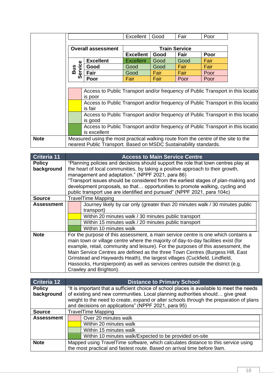|             |                                                                                            |                                                                                 | Excellent            | Good        | Fair | Poor |  |
|-------------|--------------------------------------------------------------------------------------------|---------------------------------------------------------------------------------|----------------------|-------------|------|------|--|
|             |                                                                                            |                                                                                 |                      |             |      |      |  |
|             | <b>Overall assessment</b>                                                                  |                                                                                 | <b>Train Service</b> |             |      |      |  |
|             |                                                                                            |                                                                                 | <b>Excellent</b>     | Good        | Fair | Poor |  |
|             | Φ                                                                                          | <b>Excellent</b>                                                                | <b>Excellent</b>     | Good        | Good | Fair |  |
|             | Bus                                                                                        | Good                                                                            | Good                 | Good        | Fair | Fair |  |
|             | ervic                                                                                      | Fair                                                                            | Good                 | <b>Fair</b> | Fair | Poor |  |
|             | Ŏ                                                                                          | Poor                                                                            | Fair                 | Fair        | Poor | Poor |  |
|             |                                                                                            |                                                                                 |                      |             |      |      |  |
|             | Access to Public Transport and/or frequency of Public Transport in this locatio            |                                                                                 |                      |             |      |      |  |
|             | is poor<br>Access to Public Transport and/or frequency of Public Transport in this locatio |                                                                                 |                      |             |      |      |  |
|             |                                                                                            |                                                                                 |                      |             |      |      |  |
|             |                                                                                            | is fair                                                                         |                      |             |      |      |  |
|             |                                                                                            | Access to Public Transport and/or frequency of Public Transport in this locatio |                      |             |      |      |  |
|             |                                                                                            | is good                                                                         |                      |             |      |      |  |
|             |                                                                                            | Access to Public Transport and/or frequency of Public Transport in this locatio |                      |             |      |      |  |
|             |                                                                                            | is excellent                                                                    |                      |             |      |      |  |
| <b>Note</b> | Measured using the most practical walking route from the centre of the site to the         |                                                                                 |                      |             |      |      |  |
|             | nearest Public Transport. Based on MSDC Sustainability standards.                          |                                                                                 |                      |             |      |      |  |

| Criteria 11                 | <b>Access to Main Service Centre</b>                                                                                                                                                                                                                                                                                                                                                                                                                                                                                                       |  |  |
|-----------------------------|--------------------------------------------------------------------------------------------------------------------------------------------------------------------------------------------------------------------------------------------------------------------------------------------------------------------------------------------------------------------------------------------------------------------------------------------------------------------------------------------------------------------------------------------|--|--|
| <b>Policy</b><br>background | "Planning policies and decisions should support the role that town centres play at<br>the heart of local communities, by taking a positive approach to their growth,<br>management and adaptation." (NPPF 2021, para 86)<br>"Transport issues should be considered from the earliest stages of plan-making and<br>development proposals, so that opportunities to promote walking, cycling and<br>public transport use are identified and pursued" (NPPF 2021, para 104c)                                                                  |  |  |
| <b>Source</b>               | <b>TravelTime Mapping</b>                                                                                                                                                                                                                                                                                                                                                                                                                                                                                                                  |  |  |
| <b>Assessment</b>           | Journey likely by car only (greater than 20 minutes walk / 30 minutes public<br>transport)<br>Within 20 minutes walk / 30 minutes public transport<br>Within 15 minutes walk / 20 minutes public transport<br>Within 10 minutes walk                                                                                                                                                                                                                                                                                                       |  |  |
| <b>Note</b>                 | For the purpose of this assessment, a main service centre is one which contains a<br>main town or village centre where the majority of day-to-day facilities exist (for<br>example, retail, community and leisure). For the purposes of this assessment, the<br>Main Service Centres are defined as the three Town Centres (Burgess Hill, East<br>Grinstead and Haywards Heath), the largest villages (Cuckfield, Lindfield,<br>Hassocks, Hurstpierpoint) as well as services centres outside the district (e.g.<br>Crawley and Brighton). |  |  |

| Criteria 12       | <b>Distance to Primary School</b>                                                         |  |
|-------------------|-------------------------------------------------------------------------------------------|--|
| <b>Policy</b>     | "It is important that a sufficient choice of school places is available to meet the needs |  |
| background        | of existing and new communities. Local planning authorities should give great             |  |
|                   | weight to the need to create, expand or alter schools through the preparation of plans    |  |
|                   | and decisions on applications" (NPPF 2021, para 95)                                       |  |
| <b>Source</b>     | <b>TravelTime Mapping</b>                                                                 |  |
| <b>Assessment</b> | Over 20 minutes walk                                                                      |  |
|                   | Within 20 minutes walk                                                                    |  |
|                   | Within 15 minutes walk                                                                    |  |
|                   | Within 10 minutes walk/Expected to be provided on-site                                    |  |
| <b>Note</b>       | Mapped using TravelTime software, which calculates distance to this service using         |  |
|                   | the most practical and fastest route. Based on arrival time before 9am.                   |  |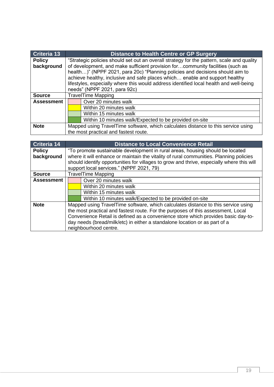| <b>Criteria 13</b>          |                                                                                                                                                                                                                                                                                                                                                                                                                                                                       | <b>Distance to Health Centre or GP Surgery</b>         |
|-----------------------------|-----------------------------------------------------------------------------------------------------------------------------------------------------------------------------------------------------------------------------------------------------------------------------------------------------------------------------------------------------------------------------------------------------------------------------------------------------------------------|--------------------------------------------------------|
| <b>Policy</b><br>background | "Strategic policies should set out an overall strategy for the pattern, scale and quality<br>of development, and make sufficient provision forcommunity facilities (such as<br>health)" (NPPF 2021, para 20c) "Planning policies and decisions should aim to<br>achieve healthy, inclusive and safe places which enable and support healthy<br>lifestyles, especially where this would address identified local health and well-being<br>needs" (NPPF 2021, para 92c) |                                                        |
| <b>Source</b>               |                                                                                                                                                                                                                                                                                                                                                                                                                                                                       | <b>TravelTime Mapping</b>                              |
| <b>Assessment</b>           | Over 20 minutes walk                                                                                                                                                                                                                                                                                                                                                                                                                                                  |                                                        |
|                             |                                                                                                                                                                                                                                                                                                                                                                                                                                                                       | Within 20 minutes walk                                 |
|                             | Within 15 minutes walk                                                                                                                                                                                                                                                                                                                                                                                                                                                |                                                        |
|                             |                                                                                                                                                                                                                                                                                                                                                                                                                                                                       | Within 10 minutes walk/Expected to be provided on-site |
| <b>Note</b>                 | Mapped using TravelTime software, which calculates distance to this service using                                                                                                                                                                                                                                                                                                                                                                                     |                                                        |
|                             |                                                                                                                                                                                                                                                                                                                                                                                                                                                                       | the most practical and fastest route.                  |

| <b>Criteria 14</b> |                                                                                   | <b>Distance to Local Convenience Retail</b>                                               |  |
|--------------------|-----------------------------------------------------------------------------------|-------------------------------------------------------------------------------------------|--|
| <b>Policy</b>      |                                                                                   | "To promote sustainable development in rural areas, housing should be located             |  |
| background         |                                                                                   | where it will enhance or maintain the vitality of rural communities. Planning policies    |  |
|                    |                                                                                   | should identify opportunities for villages to grow and thrive, especially where this will |  |
|                    |                                                                                   | support local services." (NPPF 2021, 79)                                                  |  |
| <b>Source</b>      |                                                                                   | <b>TravelTime Mapping</b>                                                                 |  |
| <b>Assessment</b>  |                                                                                   | Over 20 minutes walk                                                                      |  |
|                    |                                                                                   | Within 20 minutes walk                                                                    |  |
|                    |                                                                                   | Within 15 minutes walk                                                                    |  |
|                    |                                                                                   | Within 10 minutes walk/Expected to be provided on-site                                    |  |
| <b>Note</b>        | Mapped using TravelTime software, which calculates distance to this service using |                                                                                           |  |
|                    | the most practical and fastest route. For the purposes of this assessment, Local  |                                                                                           |  |
|                    | Convenience Retail is defined as a convenience store which provides basic day-to- |                                                                                           |  |
|                    | day needs (bread/milk/etc) in either a standalone location or as part of a        |                                                                                           |  |
|                    |                                                                                   | neighbourhood centre.                                                                     |  |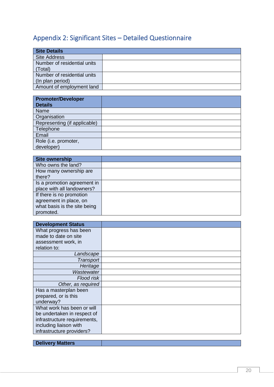## <span id="page-20-0"></span>Appendix 2: Significant Sites – Detailed Questionnaire

| <b>Site Details</b>         |  |
|-----------------------------|--|
| <b>Site Address</b>         |  |
| Number of residential units |  |
| (Total)                     |  |
| Number of residential units |  |
| (In plan period)            |  |
| Amount of employment land   |  |

| <b>Promoter/Developer</b><br><b>Details</b> |  |
|---------------------------------------------|--|
| Name                                        |  |
| Organisation                                |  |
| Representing (if applicable)                |  |
| Telephone                                   |  |
| Email                                       |  |
| Role (i.e. promoter,                        |  |
| developer)                                  |  |

| <b>Site ownership</b>        |  |
|------------------------------|--|
| Who owns the land?           |  |
| How many ownership are       |  |
| there?                       |  |
| Is a promotion agreement in  |  |
| place with all landowners?   |  |
| If there is no promotion     |  |
| agreement in place, on       |  |
| what basis is the site being |  |
| promoted.                    |  |

| <b>Development Status</b>    |  |
|------------------------------|--|
| What progress has been       |  |
| made to date on site         |  |
| assessment work, in          |  |
| relation to:                 |  |
| Landscape                    |  |
| Transport                    |  |
| Heritage                     |  |
| Wastewater                   |  |
| Flood risk                   |  |
| Other, as required           |  |
| Has a masterplan been        |  |
| prepared, or is this         |  |
| underway?                    |  |
| What work has been or will   |  |
| be undertaken in respect of  |  |
| infrastructure requirements, |  |
| including liaison with       |  |
| infrastructure providers?    |  |

**Delivery Matters**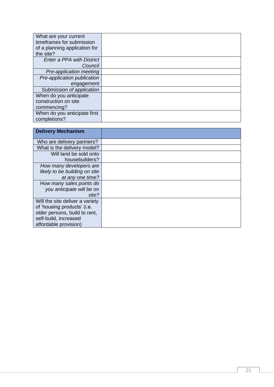| What are your current            |  |
|----------------------------------|--|
| timeframes for submission        |  |
| of a planning application for    |  |
| the site?                        |  |
| <b>Enter a PPA with District</b> |  |
| Council                          |  |
| Pre-application meeting          |  |
| Pre-application publication      |  |
| engagement                       |  |
| Submission of application        |  |
| When do you anticipate           |  |
| construction on site             |  |
| commencing?                      |  |
| When do you anticipate first     |  |
| completions?                     |  |

| <b>Delivery Mechanism</b>       |  |
|---------------------------------|--|
| Who are delivery partners?      |  |
| What is the delivery model?     |  |
| Will land be sold onto          |  |
| housebuilders?                  |  |
| How many developers are         |  |
| likely to be building on site   |  |
| at any one time?                |  |
| How many sales points do        |  |
| you anticipate will be on       |  |
| site?                           |  |
| Will the site deliver a variety |  |
| of 'housing products' (i.e.     |  |
| older persons, build to rent,   |  |
| self-build, increased           |  |
| affordable provision)           |  |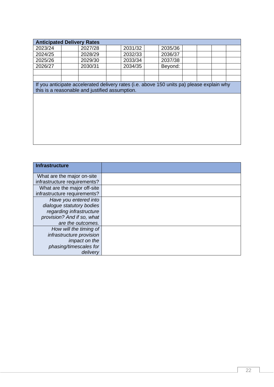| <b>Anticipated Delivery Rates</b> |                                                |                                                                                           |         |  |  |  |
|-----------------------------------|------------------------------------------------|-------------------------------------------------------------------------------------------|---------|--|--|--|
| 2023/24                           | 2027/28                                        | 2031/32                                                                                   | 2035/36 |  |  |  |
| 2024/25                           | 2028/29                                        | 2032/33                                                                                   | 2036/37 |  |  |  |
| 2025/26                           | 2029/30                                        | 2033/34                                                                                   | 2037/38 |  |  |  |
| 2026/27                           | 2030/31                                        | 2034/35                                                                                   | Beyond: |  |  |  |
|                                   |                                                |                                                                                           |         |  |  |  |
|                                   |                                                |                                                                                           |         |  |  |  |
|                                   |                                                | If you anticipate accelerated delivery rates (i.e. above 150 units pa) please explain why |         |  |  |  |
|                                   | this is a reasonable and justified assumption. |                                                                                           |         |  |  |  |
|                                   |                                                |                                                                                           |         |  |  |  |
|                                   |                                                |                                                                                           |         |  |  |  |
|                                   |                                                |                                                                                           |         |  |  |  |
|                                   |                                                |                                                                                           |         |  |  |  |
|                                   |                                                |                                                                                           |         |  |  |  |
|                                   |                                                |                                                                                           |         |  |  |  |
|                                   |                                                |                                                                                           |         |  |  |  |
|                                   |                                                |                                                                                           |         |  |  |  |

| <b>Infrastructure</b>        |
|------------------------------|
|                              |
| What are the major on-site   |
| infrastructure requirements? |
| What are the major off-site  |
| infrastructure requirements? |
| Have you entered into        |
| dialogue statutory bodies    |
| regarding infrastructure     |
| provision? And if so, what   |
| are the outcomes.            |
| How will the timing of       |
| infrastructure provision     |
| <i>impact on the</i>         |
| phasing/timescales for       |
| delivery                     |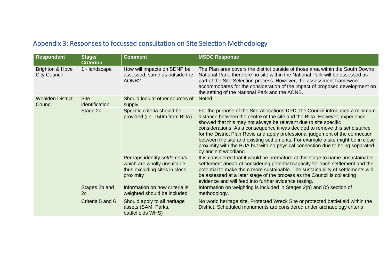# Appendix 3: Responses to focussed consultation on Site Selection Methodology

<span id="page-23-0"></span>

| <b>Respondent</b>                      | Stage/<br><b>Criterion</b>    | <b>Comment</b>                                                                                             | <b>MSDC Response</b>                                                                                                                                                                                                                                                                                                                                                                                                                                                                                                                                                                       |
|----------------------------------------|-------------------------------|------------------------------------------------------------------------------------------------------------|--------------------------------------------------------------------------------------------------------------------------------------------------------------------------------------------------------------------------------------------------------------------------------------------------------------------------------------------------------------------------------------------------------------------------------------------------------------------------------------------------------------------------------------------------------------------------------------------|
| Brighton & Hove<br><b>City Council</b> | 1 - landscape                 | How will impacts on SDNP be<br>assessed, same as outside the<br>AONB?                                      | The Plan area covers the district outside of those area within the South Downs<br>National Park, therefore no site within the National Park will be assessed as<br>part of the Site Selection process. However, the assessment framework<br>accommodates for the consideration of the impact of proposed development on<br>the setting of the National Park and the AONB.                                                                                                                                                                                                                  |
| <b>Wealden District</b><br>Council     | <b>Site</b><br>identification | Should look at other sources of<br>supply                                                                  | <b>Noted</b>                                                                                                                                                                                                                                                                                                                                                                                                                                                                                                                                                                               |
|                                        | Stage 2a                      | Specific criteria should be<br>provided (i.e. 150m from BUA)                                               | For the purpose of the Site Allocations DPD, the Council introduced a minimum<br>distance between the centre of the site and the BUA. However, experience<br>showed that this may not always be relevant due to site specific<br>considerations. As a consequence it was decided to remove this set distance<br>for the District Plan Revie and apply professional judgement of the connection<br>between the site and existing settlements. For example a site might be in close<br>proximity with the BUA but with no physical connection due to being separated<br>by ancient woodland. |
|                                        |                               | Perhaps identify settlements<br>which are wholly unsuitable;<br>thus excluding sites in close<br>proximity | It is considered that it would be premature at this stage to name unsustainable<br>settlement ahead of considering potential capacity for each settlement and the<br>potential to make them more sustainable. The sustainability of settlements will<br>be assessed at a later stage of the process as the Council is collecting<br>evidence and will feed into further evidence testing.                                                                                                                                                                                                  |
|                                        | Stages 2b and<br>2c           | Information on how criteria is<br>weighted should be included                                              | Information on weighting is included in Stages 2(b) and (c) section of<br>methodology.                                                                                                                                                                                                                                                                                                                                                                                                                                                                                                     |
|                                        | Criteria 5 and 6              | Should apply to all heritage<br>assets (SAM, Parks,<br>battlefields WHS)                                   | No world heritage site, Protected Wreck Site or protected battlefield within the<br>District. Scheduled monuments are considered under archaeology criteria                                                                                                                                                                                                                                                                                                                                                                                                                                |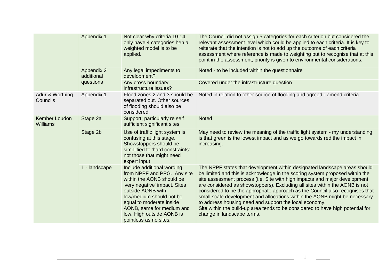|                                  | Appendix 1                      | Not clear why criteria 10-14<br>only have 4 categories hen a<br>weighted model is to be<br>applied.                                                                                                                                                                                      | The Council did not assign 5 categories for each criterion but considered the<br>relevant assessment level which could be applied to each criteria. It is key to<br>reiterate that the intention is not to add up the outcome of each criteria<br>assessment where reference is made to weighting but to recognise that at this<br>point in the assessment, priority is given to environmental considerations.                                                                                                                                                                                                                                                   |
|----------------------------------|---------------------------------|------------------------------------------------------------------------------------------------------------------------------------------------------------------------------------------------------------------------------------------------------------------------------------------|------------------------------------------------------------------------------------------------------------------------------------------------------------------------------------------------------------------------------------------------------------------------------------------------------------------------------------------------------------------------------------------------------------------------------------------------------------------------------------------------------------------------------------------------------------------------------------------------------------------------------------------------------------------|
|                                  | <b>Appendix 2</b><br>additional | Any legal impediments to<br>development?                                                                                                                                                                                                                                                 | Noted - to be included within the questionnaire                                                                                                                                                                                                                                                                                                                                                                                                                                                                                                                                                                                                                  |
|                                  | questions                       | Any cross boundary<br>infrastructure issues?                                                                                                                                                                                                                                             | Covered under the infrastructure question                                                                                                                                                                                                                                                                                                                                                                                                                                                                                                                                                                                                                        |
| Adur & Worthing<br>Councils      | Appendix 1                      | Flood zones 2 and 3 should be<br>separated out. Other sources<br>of flooding should also be<br>considered.                                                                                                                                                                               | Noted in relation to other source of flooding and agreed - amend criteria                                                                                                                                                                                                                                                                                                                                                                                                                                                                                                                                                                                        |
| Kember Loudon<br><b>Williams</b> | Stage 2a                        | Support; particularly re self<br>sufficient significant sites                                                                                                                                                                                                                            | <b>Noted</b>                                                                                                                                                                                                                                                                                                                                                                                                                                                                                                                                                                                                                                                     |
|                                  | Stage 2b                        | Use of traffic light system is<br>confusing at this stage.<br>Showstoppers should be<br>simplified to 'hard constraints'<br>not those that might need<br>expert input                                                                                                                    | May need to review the meaning of the traffic light system - my understanding<br>is that green is the lowest impact and as we go towards red the impact in<br>increasing.                                                                                                                                                                                                                                                                                                                                                                                                                                                                                        |
|                                  | 1 - landscape                   | Include additional wording<br>from NPPF and PPG. Any site<br>within the AONB should be<br>'very negative' impact. Sites<br>outside AONB with<br>low/medium should not be<br>equal to moderate inside<br>AONB, same for medium and<br>low. High outside AONB is<br>pointless as no sites. | The NPPF states that development within designated landscape areas should<br>be limited and this is acknowledge in the scoring system proposed within the<br>site assessment process (i.e. Site with high impacts and major development<br>are considered as showstoppers). Excluding all sites within the AONB is not<br>considered to be the appropriate approach as the Council also recognises that<br>small scale development and allocations within the AONB might be necessary<br>to address housing need and support the local economy.<br>Site within the build-up area tends to be considered to have high potential for<br>change in landscape terms. |

1